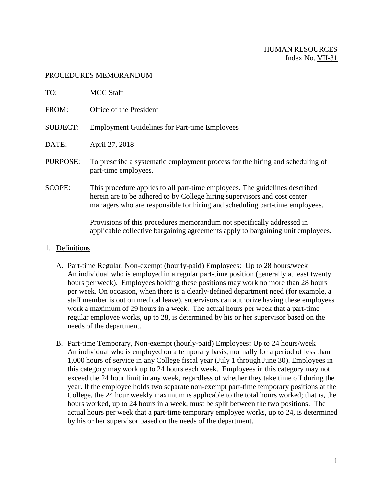# HUMAN RESOURCES Index No. VII-31

#### PROCEDURES MEMORANDUM

| TO:             | <b>MCC Staff</b>                                                                                                                                                                                                                        |
|-----------------|-----------------------------------------------------------------------------------------------------------------------------------------------------------------------------------------------------------------------------------------|
| FROM:           | Office of the President                                                                                                                                                                                                                 |
| <b>SUBJECT:</b> | <b>Employment Guidelines for Part-time Employees</b>                                                                                                                                                                                    |
| DATE:           | April 27, 2018                                                                                                                                                                                                                          |
| PURPOSE:        | To prescribe a systematic employment process for the hiring and scheduling of<br>part-time employees.                                                                                                                                   |
| <b>SCOPE:</b>   | This procedure applies to all part-time employees. The guidelines described<br>herein are to be adhered to by College hiring supervisors and cost center<br>managers who are responsible for hiring and scheduling part-time employees. |
|                 | Provisions of this procedures memorandum not specifically addressed in<br>applicable collective bargaining agreements apply to bargaining unit employees.                                                                               |

#### 1. Definitions

- A. Part-time Regular, Non-exempt (hourly-paid) Employees: Up to 28 hours/week An individual who is employed in a regular part-time position (generally at least twenty hours per week). Employees holding these positions may work no more than 28 hours per week. On occasion, when there is a clearly-defined department need (for example, a staff member is out on medical leave), supervisors can authorize having these employees work a maximum of 29 hours in a week. The actual hours per week that a part-time regular employee works, up to 28, is determined by his or her supervisor based on the needs of the department.
- B. Part-time Temporary, Non-exempt (hourly-paid) Employees: Up to 24 hours/week An individual who is employed on a temporary basis, normally for a period of less than 1,000 hours of service in any College fiscal year (July 1 through June 30). Employees in this category may work up to 24 hours each week. Employees in this category may not exceed the 24 hour limit in any week, regardless of whether they take time off during the year. If the employee holds two separate non-exempt part-time temporary positions at the College, the 24 hour weekly maximum is applicable to the total hours worked; that is, the hours worked, up to 24 hours in a week, must be split between the two positions. The actual hours per week that a part-time temporary employee works, up to 24, is determined by his or her supervisor based on the needs of the department.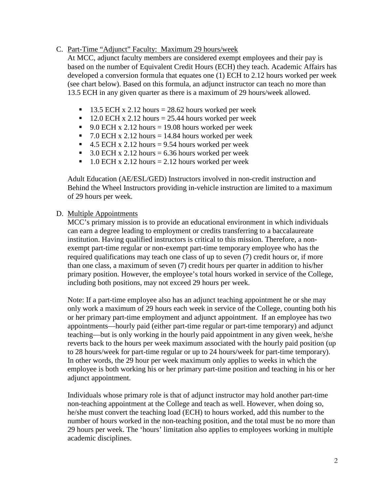### C. Part-Time "Adjunct" Faculty: Maximum 29 hours/week

At MCC, adjunct faculty members are considered exempt employees and their pay is based on the number of Equivalent Credit Hours (ECH) they teach. Academic Affairs has developed a conversion formula that equates one (1) ECH to 2.12 hours worked per week (see chart below). Based on this formula, an adjunct instructor can teach no more than 13.5 ECH in any given quarter as there is a maximum of 29 hours/week allowed.

- $\blacksquare$  13.5 ECH x 2.12 hours = 28.62 hours worked per week
- $12.0$  ECH x 2.12 hours = 25.44 hours worked per week
- 9.0 ECH x 2.12 hours = 19.08 hours worked per week
- 7.0 ECH x 2.12 hours = 14.84 hours worked per week
- 4.5 ECH x 2.12 hours = 9.54 hours worked per week
- 3.0 ECH x 2.12 hours = 6.36 hours worked per week
- $\blacksquare$  1.0 ECH x 2.12 hours = 2.12 hours worked per week

Adult Education (AE/ESL/GED) Instructors involved in non-credit instruction and Behind the Wheel Instructors providing in-vehicle instruction are limited to a maximum of 29 hours per week.

## D. Multiple Appointments

MCC's primary mission is to provide an educational environment in which individuals can earn a degree leading to employment or credits transferring to a baccalaureate institution. Having qualified instructors is critical to this mission. Therefore, a nonexempt part-time regular or non-exempt part-time temporary employee who has the required qualifications may teach one class of up to seven (7) credit hours or, if more than one class, a maximum of seven (7) credit hours per quarter in addition to his/her primary position. However, the employee's total hours worked in service of the College, including both positions, may not exceed 29 hours per week.

Note: If a part-time employee also has an adjunct teaching appointment he or she may only work a maximum of 29 hours each week in service of the College, counting both his or her primary part-time employment and adjunct appointment. If an employee has two appointments—hourly paid (either part-time regular or part-time temporary) and adjunct teaching—but is only working in the hourly paid appointment in any given week, he/she reverts back to the hours per week maximum associated with the hourly paid position (up to 28 hours/week for part-time regular or up to 24 hours/week for part-time temporary). In other words, the 29 hour per week maximum only applies to weeks in which the employee is both working his or her primary part-time position and teaching in his or her adjunct appointment.

Individuals whose primary role is that of adjunct instructor may hold another part-time non-teaching appointment at the College and teach as well. However, when doing so, he/she must convert the teaching load (ECH) to hours worked, add this number to the number of hours worked in the non-teaching position, and the total must be no more than 29 hours per week. The 'hours' limitation also applies to employees working in multiple academic disciplines.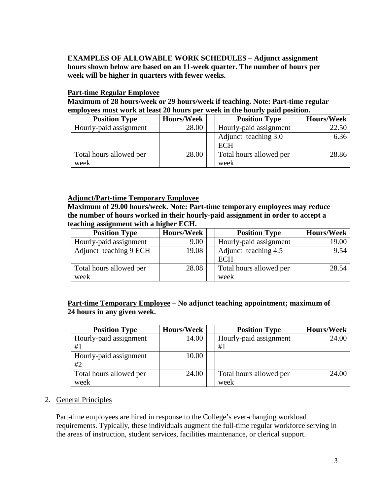**EXAMPLES OF ALLOWABLE WORK SCHEDULES – Adjunct assignment hours shown below are based on an 11-week quarter. The number of hours per week will be higher in quarters with fewer weeks.**

### **Part-time Regular Employee**

**Maximum of 28 hours/week or 29 hours/week if teaching. Note: Part-time regular employees must work at least 20 hours per week in the hourly paid position.**

| <b>Position Type</b>            | <b>Hours/Week</b> | <b>Position Type</b>            | <b>Hours/Week</b> |
|---------------------------------|-------------------|---------------------------------|-------------------|
| Hourly-paid assignment          | 28.00             | Hourly-paid assignment          | 22.50             |
|                                 |                   | Adjunct teaching 3.0<br>ECH     | 6.36              |
| Total hours allowed per<br>week | 28.00             | Total hours allowed per<br>week | 28.86             |

## **Adjunct/Part-time Temporary Employee**

**Maximum of 29.00 hours/week. Note: Part-time temporary employees may reduce the number of hours worked in their hourly-paid assignment in order to accept a teaching assignment with a higher ECH.**

| <b>Position Type</b>    | <b>Hours/Week</b> | <b>Position Type</b>    | <b>Hours/Week</b> |
|-------------------------|-------------------|-------------------------|-------------------|
| Hourly-paid assignment  | 9.00              | Hourly-paid assignment  | 19.00             |
| Adjunct teaching 9 ECH  | 19.08             | Adjunct teaching 4.5    | 9.54              |
|                         |                   | <b>ECH</b>              |                   |
| Total hours allowed per | 28.08             | Total hours allowed per | 28.54             |
| week                    |                   | week                    |                   |

## **Part-time Temporary Employee – No adjunct teaching appointment; maximum of 24 hours in any given week.**

| <b>Position Type</b>    | <b>Hours/Week</b> | <b>Position Type</b>    | <b>Hours/Week</b> |
|-------------------------|-------------------|-------------------------|-------------------|
| Hourly-paid assignment  | 14.00             | Hourly-paid assignment  | 24.00             |
| #1                      |                   | #1                      |                   |
| Hourly-paid assignment  | 10.00             |                         |                   |
| #2                      |                   |                         |                   |
| Total hours allowed per | 24.00             | Total hours allowed per | 24.00             |
| week                    |                   | week                    |                   |

2. General Principles

Part-time employees are hired in response to the College's ever-changing workload requirements. Typically, these individuals augment the full-time regular workforce serving in the areas of instruction, student services, facilities maintenance, or clerical support.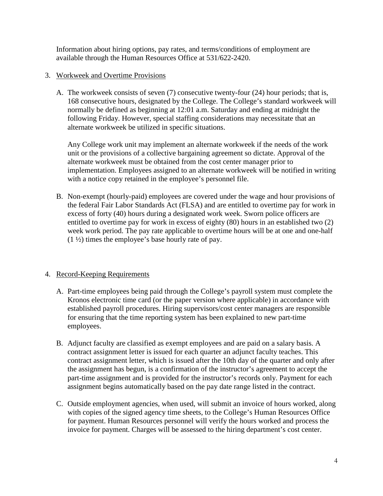Information about hiring options, pay rates, and terms/conditions of employment are available through the Human Resources Office at 531/622-2420.

## 3. Workweek and Overtime Provisions

A. The workweek consists of seven (7) consecutive twenty-four (24) hour periods; that is, 168 consecutive hours, designated by the College. The College's standard workweek will normally be defined as beginning at 12:01 a.m. Saturday and ending at midnight the following Friday. However, special staffing considerations may necessitate that an alternate workweek be utilized in specific situations.

Any College work unit may implement an alternate workweek if the needs of the work unit or the provisions of a collective bargaining agreement so dictate. Approval of the alternate workweek must be obtained from the cost center manager prior to implementation. Employees assigned to an alternate workweek will be notified in writing with a notice copy retained in the employee's personnel file.

B. Non-exempt (hourly-paid) employees are covered under the wage and hour provisions of the federal Fair Labor Standards Act (FLSA) and are entitled to overtime pay for work in excess of forty (40) hours during a designated work week. Sworn police officers are entitled to overtime pay for work in excess of eighty (80) hours in an established two (2) week work period. The pay rate applicable to overtime hours will be at one and one-half (1 ½) times the employee's base hourly rate of pay.

#### 4. Record-Keeping Requirements

- A. Part-time employees being paid through the College's payroll system must complete the Kronos electronic time card (or the paper version where applicable) in accordance with established payroll procedures. Hiring supervisors/cost center managers are responsible for ensuring that the time reporting system has been explained to new part-time employees.
- B. Adjunct faculty are classified as exempt employees and are paid on a salary basis. A contract assignment letter is issued for each quarter an adjunct faculty teaches. This contract assignment letter, which is issued after the 10th day of the quarter and only after the assignment has begun, is a confirmation of the instructor's agreement to accept the part-time assignment and is provided for the instructor's records only. Payment for each assignment begins automatically based on the pay date range listed in the contract.
- C. Outside employment agencies, when used, will submit an invoice of hours worked, along with copies of the signed agency time sheets, to the College's Human Resources Office for payment. Human Resources personnel will verify the hours worked and process the invoice for payment. Charges will be assessed to the hiring department's cost center.